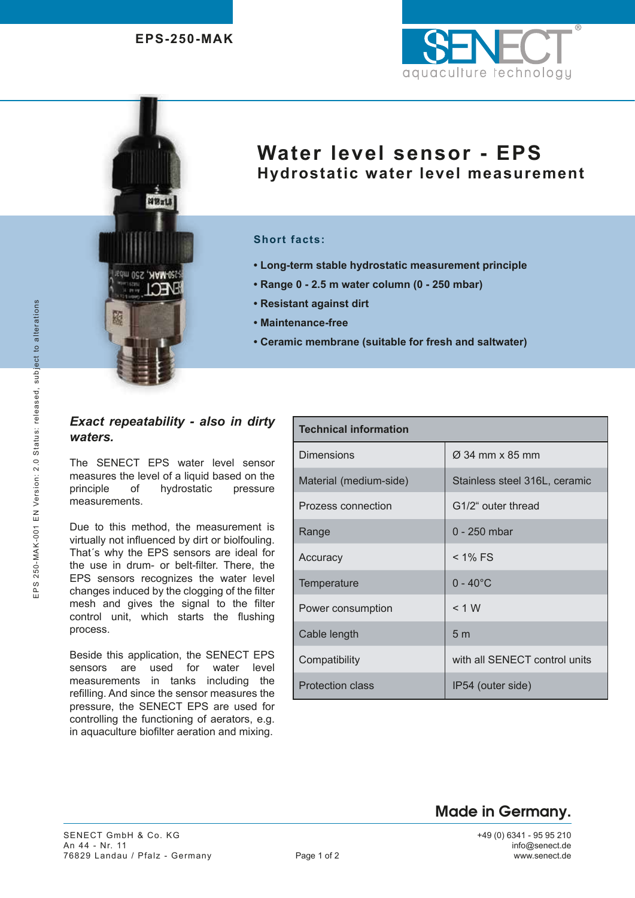$98718$ 

**J-MAK, 250 mbar** 

随



# **Water level sensor - EPS Hydrostatic water level measurement**

#### **Short facts:**

- **Long-term stable hydrostatic measurement principle**
- **Range 0 2.5 m water column (0 250 mbar)**
- **Resistant against dirt**
- **Maintenance-free**
- **Ceramic membrane (suitable for fresh and saltwater)**

### *Exact repeatability - also in dirty waters.*

The SENECT EPS water level sensor measures the level of a liquid based on the principle of hydrostatic pressure measurements.

Due to this method, the measurement is virtually not influenced by dirt or biolfouling. That´s why the EPS sensors are ideal for the use in drum- or belt-filter. There, the EPS sensors recognizes the water level changes induced by the clogging of the filter mesh and gives the signal to the filter control unit, which starts the flushing process.

Beside this application, the SENECT EPS sensors are used for water level measurements in tanks including the refilling. And since the sensor measures the pressure, the SENECT EPS are used for controlling the functioning of aerators, e.g. in aquaculture biofilter aeration and mixing.

| <b>Technical information</b> |                               |  |
|------------------------------|-------------------------------|--|
| <b>Dimensions</b>            | $\varnothing$ 34 mm x 85 mm   |  |
| Material (medium-side)       | Stainless steel 316L, ceramic |  |
| Prozess connection           | G1/2" outer thread            |  |
| Range                        | $0 - 250$ mbar                |  |
| Accuracy                     | $<$ 1% FS                     |  |
| Temperature                  | $0 - 40^{\circ}$ C            |  |
| Power consumption            | < 1 W                         |  |
| Cable length                 | 5m                            |  |
| Compatibility                | with all SENECT control units |  |
| <b>Protection class</b>      | IP54 (outer side)             |  |

## Made in Germany.